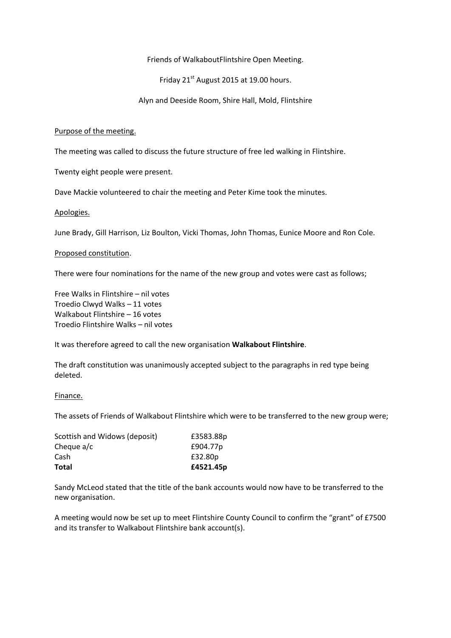Friends of WalkaboutFlintshire Open Meeting.

Friday  $21^{st}$  August 2015 at 19.00 hours.

Alyn and Deeside Room, Shire Hall, Mold, Flintshire

## Purpose of the meeting.

The meeting was called to discuss the future structure of free led walking in Flintshire.

Twenty eight people were present.

Dave Mackie volunteered to chair the meeting and Peter Kime took the minutes.

### Apologies.

June Brady, Gill Harrison, Liz Boulton, Vicki Thomas, John Thomas, Eunice Moore and Ron Cole.

### Proposed constitution.

There were four nominations for the name of the new group and votes were cast as follows;

Free Walks in Flintshire – nil votes Troedio Clwyd Walks – 11 votes Walkabout Flintshire – 16 votes Troedio Flintshire Walks – nil votes

It was therefore agreed to call the new organisation **Walkabout Flintshire**.

The draft constitution was unanimously accepted subject to the paragraphs in red type being deleted.

#### Finance.

The assets of Friends of Walkabout Flintshire which were to be transferred to the new group were;

| Total                         | £4521.45p |
|-------------------------------|-----------|
| Cash                          | £32.80p   |
| Cheque a/c                    | £904.77p  |
| Scottish and Widows (deposit) | £3583.88p |

Sandy McLeod stated that the title of the bank accounts would now have to be transferred to the new organisation.

A meeting would now be set up to meet Flintshire County Council to confirm the "grant" of £7500 and its transfer to Walkabout Flintshire bank account(s).